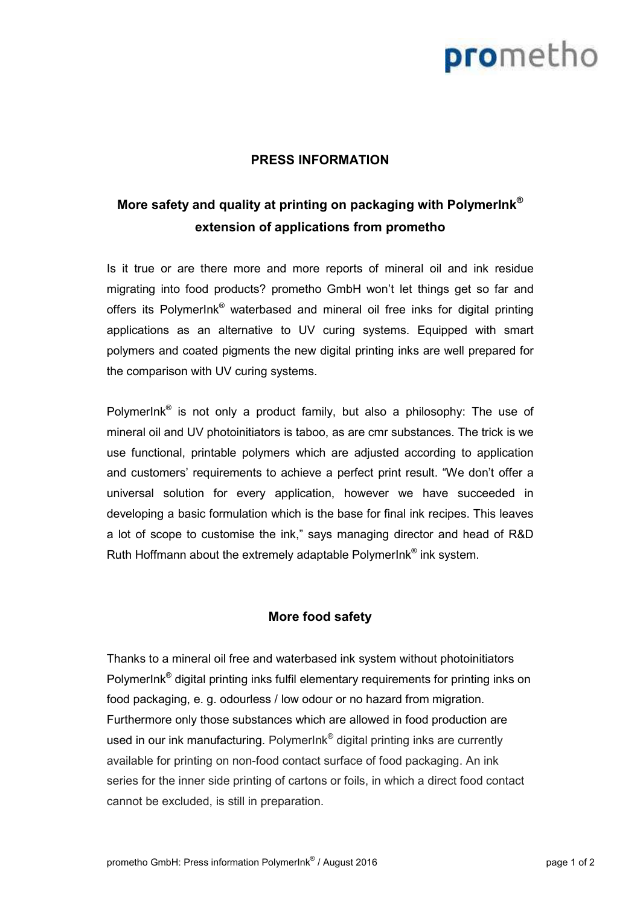# prometho

### **PRESS INFORMATION**

### **More safety and quality at printing on packaging with PolymerInk® extension of applications from prometho**

Is it true or are there more and more reports of mineral oil and ink residue migrating into food products? prometho GmbH won't let things get so far and offers its PolymerInk<sup>®</sup> waterbased and mineral oil free inks for digital printing applications as an alternative to UV curing systems. Equipped with smart polymers and coated pigments the new digital printing inks are well prepared for the comparison with UV curing systems.

PolymerInk<sup>®</sup> is not only a product family, but also a philosophy: The use of mineral oil and UV photoinitiators is taboo, as are cmr substances. The trick is we use functional, printable polymers which are adjusted according to application and customers' requirements to achieve a perfect print result. "We don't offer a universal solution for every application, however we have succeeded in developing a basic formulation which is the base for final ink recipes. This leaves a lot of scope to customise the ink," says managing director and head of R&D Ruth Hoffmann about the extremely adaptable PolymerInk® ink system.

### **More food safety**

Thanks to a mineral oil free and waterbased ink system without photoinitiators PolymerInk<sup>®</sup> digital printing inks fulfil elementary requirements for printing inks on food packaging, e. g. odourless / low odour or no hazard from migration. Furthermore only those substances which are allowed in food production are used in our ink manufacturing. PolymerInk® digital printing inks are currently available for printing on non-food contact surface of food packaging. An ink series for the inner side printing of cartons or foils, in which a direct food contact cannot be excluded, is still in preparation.